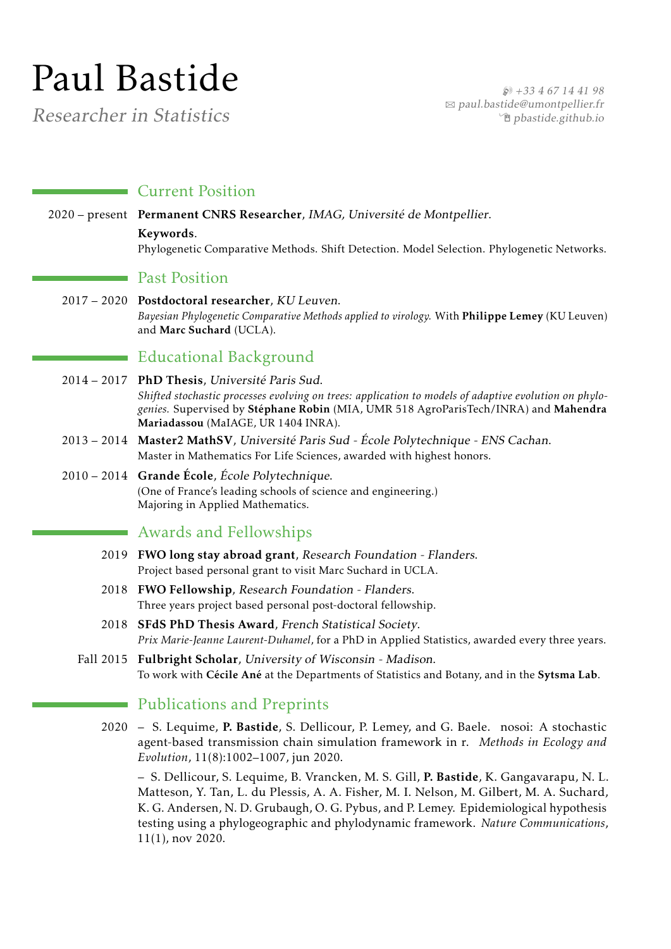# Paul Bastide

Researcher in Statistics

 $$+33467144198$ B [paul.bastide@umontpellier.fr](mailto:paul.bastide@umontpellier.fr) Í [pbastide.github.io](http://pbastide.github.io)

#### **Current Position**

2020 – present Permanent CNRS Researcher, IMAG, Université de Montpellier. Keywords. Phylogenetic Comparative Methods. Shift Detection. Model Selection. Phylogenetic Networks.

#### **Past Position**

2017 – 2020 Postdoctoral researcher, KU Leuven. *Bayesian Phylogenetic Comparative Methods applied to virology.* With Philippe Lemey (KU Leuven) and Marc Suchard (UCLA).

## Educational Background

- 2014 2017 PhD Thesis, Université Paris Sud. *Shifted stochastic processes evolving on trees: application to models of adaptive evolution on phylogenies.* Supervised by Stéphane Robin (MIA, UMR 518 AgroParisTech/INRA) and Mahendra Mariadassou (MaIAGE, UR 1404 INRA).
- 2013 2014 Master2 MathSV, Université Paris Sud École Polytechnique ENS Cachan. Master in Mathematics For Life Sciences, awarded with highest honors.
- 2010 2014 Grande École, École Polytechnique. (One of France's leading schools of science and engineering.) Majoring in Applied Mathematics.

## Awards and Fellowships

- 2019 FWO long stay abroad grant, Research Foundation Flanders. Project based personal grant to visit Marc Suchard in UCLA.
- 2018 FWO Fellowship, Research Foundation Flanders. Three years project based personal post-doctoral fellowship.
- 2018 SFdS PhD Thesis Award, French Statistical Society. *Prix Marie-Jeanne Laurent-Duhamel*, for a PhD in Applied Statistics, awarded every three years.
- Fall 2015 Fulbright Scholar, University of Wisconsin Madison. To work with Cécile Ané at the Departments of Statistics and Botany, and in the Sytsma Lab.

## **Publications and Preprints**

2020 – S. Lequime, P. Bastide, S. Dellicour, P. Lemey, and G. Baele. nosoi: A stochastic agent-based transmission chain simulation framework in r. *Methods in Ecology and Evolution*, 11(8):1002–1007, jun 2020.

– S. Dellicour, S. Lequime, B. Vrancken, M. S. Gill, P. Bastide, K. Gangavarapu, N. L. Matteson, Y. Tan, L. du Plessis, A. A. Fisher, M. I. Nelson, M. Gilbert, M. A. Suchard, K. G. Andersen, N. D. Grubaugh, O. G. Pybus, and P. Lemey. Epidemiological hypothesis testing using a phylogeographic and phylodynamic framework. *Nature Communications*, 11(1), nov 2020.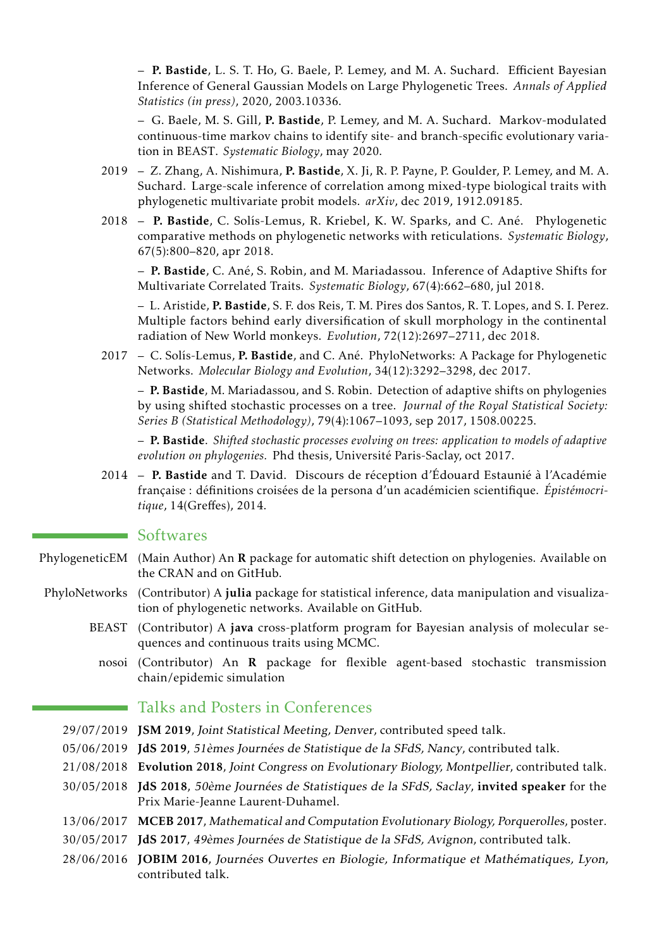– P. Bastide, L. S. T. Ho, G. Baele, P. Lemey, and M. A. Suchard. Efficient Bayesian Inference of General Gaussian Models on Large Phylogenetic Trees. *Annals of Applied Statistics (in press)*, 2020, 2003.10336.

– G. Baele, M. S. Gill, P. Bastide, P. Lemey, and M. A. Suchard. Markov-modulated continuous-time markov chains to identify site- and branch-specific evolutionary variation in BEAST. *Systematic Biology*, may 2020.

- 2019 Z. Zhang, A. Nishimura, P. Bastide, X. Ji, R. P. Payne, P. Goulder, P. Lemey, and M. A. Suchard. Large-scale inference of correlation among mixed-type biological traits with phylogenetic multivariate probit models. *arXiv*, dec 2019, 1912.09185.
- 2018 P. Bastide, C. Solís-Lemus, R. Kriebel, K. W. Sparks, and C. Ané. Phylogenetic comparative methods on phylogenetic networks with reticulations. *Systematic Biology*, 67(5):800–820, apr 2018.

– P. Bastide, C. Ané, S. Robin, and M. Mariadassou. Inference of Adaptive Shifts for Multivariate Correlated Traits. *Systematic Biology*, 67(4):662–680, jul 2018.

– L. Aristide, P. Bastide, S. F. dos Reis, T. M. Pires dos Santos, R. T. Lopes, and S. I. Perez. Multiple factors behind early diversification of skull morphology in the continental radiation of New World monkeys. *Evolution*, 72(12):2697–2711, dec 2018.

2017 – C. Solís-Lemus, P. Bastide, and C. Ané. PhyloNetworks: A Package for Phylogenetic Networks. *Molecular Biology and Evolution*, 34(12):3292–3298, dec 2017.

– P. Bastide, M. Mariadassou, and S. Robin. Detection of adaptive shifts on phylogenies by using shifted stochastic processes on a tree. *Journal of the Royal Statistical Society: Series B (Statistical Methodology)*, 79(4):1067–1093, sep 2017, 1508.00225.

– P. Bastide. *Shifted stochastic processes evolving on trees: application to models of adaptive evolution on phylogenies.* Phd thesis, Université Paris-Saclay, oct 2017.

2014 – P. Bastide and T. David. Discours de réception d'Édouard Estaunié à l'Académie française : définitions croisées de la persona d'un académicien scientifique. *Épistémocritique*, 14(Greffes), 2014.

#### Softwares

- PhylogeneticEM (Main Author) An R package for automatic shift detection on phylogenies. Available on the CRAN and on GitHub.
- PhyloNetworks (Contributor) A julia package for statistical inference, data manipulation and visualization of phylogenetic networks. Available on GitHub.
	- BEAST (Contributor) A java cross-platform program for Bayesian analysis of molecular sequences and continuous traits using MCMC.
		- nosoi (Contributor) An R package for flexible agent-based stochastic transmission chain/epidemic simulation

## Talks and Posters in Conferences

- 29/07/2019 JSM 2019, Joint Statistical Meeting, Denver, contributed speed talk.
- 05/06/2019 JdS 2019, 51èmes Journées de Statistique de la SFdS, Nancy, contributed talk.
- 21/08/2018 Evolution 2018, Joint Congress on Evolutionary Biology, Montpellier, contributed talk.
- 30/05/2018 JdS 2018, 50ème Journées de Statistiques de la SFdS, Saclay, invited speaker for the Prix Marie-Jeanne Laurent-Duhamel.
- 13/06/2017 MCEB 2017, Mathematical and Computation Evolutionary Biology, Porquerolles, poster.
- 30/05/2017 JdS 2017, 49èmes Journées de Statistique de la SFdS, Avignon, contributed talk.
- 28/06/2016 JOBIM 2016, Journées Ouvertes en Biologie, Informatique et Mathématiques, Lyon, contributed talk.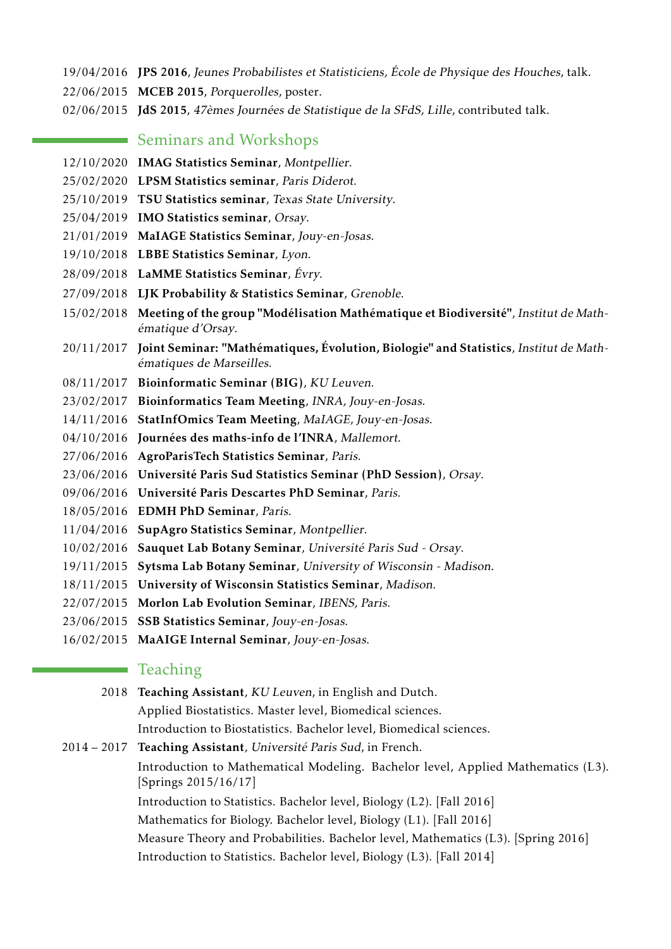- 19/04/2016 JPS 2016, Jeunes Probabilistes et Statisticiens, École de Physique des Houches, talk.
- 22/06/2015 MCEB 2015, Porquerolles, poster.
- 02/06/2015 JdS 2015, 47èmes Journées de Statistique de la SFdS, Lille, contributed talk.

#### **Seminars and Workshops**

- 12/10/2020 IMAG Statistics Seminar, Montpellier.
- 25/02/2020 LPSM Statistics seminar, Paris Diderot.
- 25/10/2019 TSU Statistics seminar, Texas State University.
- 25/04/2019 IMO Statistics seminar, Orsay.
- 21/01/2019 MaIAGE Statistics Seminar, Jouy-en-Josas.
- 19/10/2018 LBBE Statistics Seminar, Lyon.
- 28/09/2018 LaMME Statistics Seminar, Évry.
- 27/09/2018 LJK Probability & Statistics Seminar, Grenoble.
- 15/02/2018 Meeting of the group "Modélisation Mathématique et Biodiversité", Institut de Mathématique d'Orsay.
- 20/11/2017 Joint Seminar: "Mathématiques, Évolution, Biologie" and Statistics, Institut de Mathématiques de Marseilles.
- 08/11/2017 Bioinformatic Seminar (BIG), KU Leuven.
- 23/02/2017 Bioinformatics Team Meeting, INRA, Jouy-en-Josas.
- 14/11/2016 StatInfOmics Team Meeting, MaIAGE, Jouy-en-Josas.
- 04/10/2016 Journées des maths-info de l'INRA, Mallemort.
- 27/06/2016 AgroParisTech Statistics Seminar, Paris.
- 23/06/2016 Université Paris Sud Statistics Seminar (PhD Session), Orsay.
- 09/06/2016 Université Paris Descartes PhD Seminar, Paris.
- 18/05/2016 EDMH PhD Seminar, Paris.
- 11/04/2016 SupAgro Statistics Seminar, Montpellier.
- 10/02/2016 Sauquet Lab Botany Seminar, Université Paris Sud Orsay.
- 19/11/2015 Sytsma Lab Botany Seminar, University of Wisconsin Madison.
- 18/11/2015 University of Wisconsin Statistics Seminar, Madison.
- 22/07/2015 Morlon Lab Evolution Seminar, IBENS, Paris.
- 23/06/2015 SSB Statistics Seminar, Jouy-en-Josas.
- 16/02/2015 MaAIGE Internal Seminar, Jouy-en-Josas.

## **Teaching**

- 2018 Teaching Assistant, KU Leuven, in English and Dutch. Applied Biostatistics. Master level, Biomedical sciences.
- Introduction to Biostatistics. Bachelor level, Biomedical sciences.

2014 – 2017 Teaching Assistant, Université Paris Sud, in French.

Introduction to Mathematical Modeling. Bachelor level, Applied Mathematics (L3). [Springs 2015/16/17]

Introduction to Statistics. Bachelor level, Biology (L2). [Fall 2016]

Mathematics for Biology. Bachelor level, Biology (L1). [Fall 2016]

- Measure Theory and Probabilities. Bachelor level, Mathematics (L3). [Spring 2016]
- Introduction to Statistics. Bachelor level, Biology (L3). [Fall 2014]